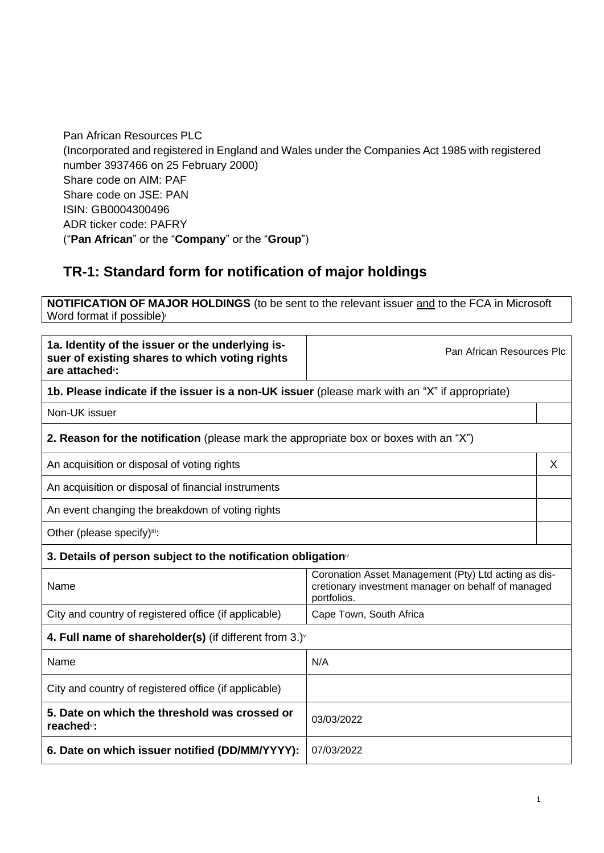Pan African Resources PLC (Incorporated and registered in England and Wales under the Companies Act 1985 with registered number 3937466 on 25 February 2000) Share code on AIM: PAF Share code on JSE: PAN ISIN: GB0004300496 ADR ticker code: PAFRY ("**Pan African**" or the "**Company**" or the "**Group**")

# **TR-1: Standard form for notification of major holdings**

**NOTIFICATION OF MAJOR HOLDINGS** (to be sent to the relevant issuer and to the FCA in Microsoft Word format if possible)

| 1a. Identity of the issuer or the underlying is-<br>suer of existing shares to which voting rights<br>are attached <sup>#</sup> : | Pan African Resources Plc                                                                                                 |   |  |
|-----------------------------------------------------------------------------------------------------------------------------------|---------------------------------------------------------------------------------------------------------------------------|---|--|
| 1b. Please indicate if the issuer is a non-UK issuer (please mark with an "X" if appropriate)                                     |                                                                                                                           |   |  |
| Non-UK issuer                                                                                                                     |                                                                                                                           |   |  |
| 2. Reason for the notification (please mark the appropriate box or boxes with an "X")                                             |                                                                                                                           |   |  |
| An acquisition or disposal of voting rights                                                                                       |                                                                                                                           | X |  |
| An acquisition or disposal of financial instruments                                                                               |                                                                                                                           |   |  |
| An event changing the breakdown of voting rights                                                                                  |                                                                                                                           |   |  |
| Other (please specify)iii:                                                                                                        |                                                                                                                           |   |  |
| 3. Details of person subject to the notification obligation <sup>iv</sup>                                                         |                                                                                                                           |   |  |
| Name                                                                                                                              | Coronation Asset Management (Pty) Ltd acting as dis-<br>cretionary investment manager on behalf of managed<br>portfolios. |   |  |
| City and country of registered office (if applicable)                                                                             | Cape Town, South Africa                                                                                                   |   |  |
| 4. Full name of shareholder(s) (if different from 3.) $\check{ }$                                                                 |                                                                                                                           |   |  |
| Name                                                                                                                              | N/A                                                                                                                       |   |  |
| City and country of registered office (if applicable)                                                                             |                                                                                                                           |   |  |
| 5. Date on which the threshold was crossed or<br>reached <sup>vi</sup> :                                                          | 03/03/2022                                                                                                                |   |  |
| 6. Date on which issuer notified (DD/MM/YYYY):                                                                                    | 07/03/2022                                                                                                                |   |  |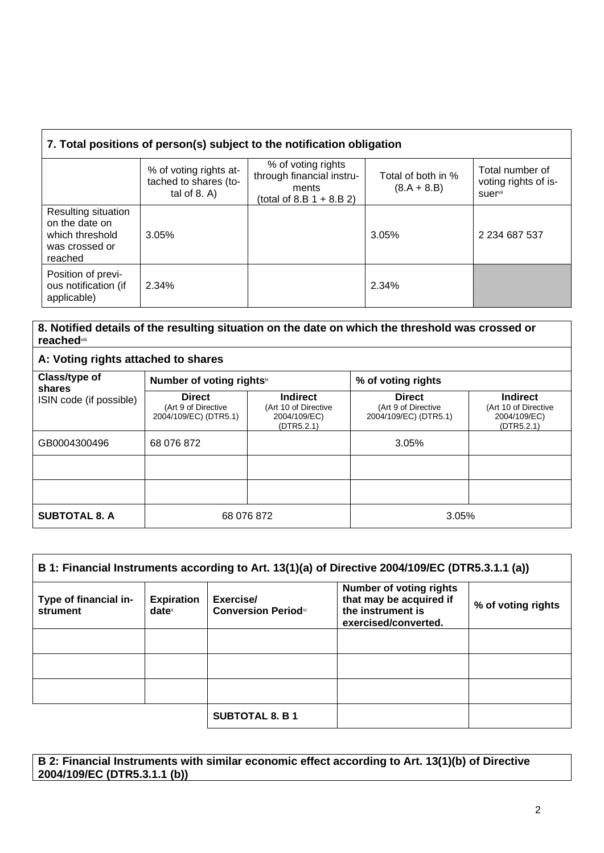| 7. Total positions of person(s) subject to the notification obligation                |                                                                    |                                                                                         |                                     |                                                                |
|---------------------------------------------------------------------------------------|--------------------------------------------------------------------|-----------------------------------------------------------------------------------------|-------------------------------------|----------------------------------------------------------------|
|                                                                                       | % of voting rights at-<br>tached to shares (to-<br>tal of $8. A$ ) | % of voting rights<br>through financial instru-<br>ments<br>(total of 8.B $1 + 8.B 2$ ) | Total of both in %<br>$(8.A + 8.B)$ | Total number of<br>voting rights of is-<br>suer <sup>vii</sup> |
| Resulting situation<br>on the date on<br>which threshold<br>was crossed or<br>reached | 3.05%                                                              |                                                                                         | 3.05%                               | 2 2 34 6 87 5 37                                               |
| Position of previ-<br>ous notification (if<br>applicable)                             | 2.34%                                                              |                                                                                         | 2.34%                               |                                                                |

#### **8. Notified details of the resulting situation on the date on which the threshold was crossed or reached**viii

## **A: Voting rights attached to shares**

| Class/type of<br>shares | Number of voting rightsix                                     |                                                                       | % of voting rights                                            |                                                                       |
|-------------------------|---------------------------------------------------------------|-----------------------------------------------------------------------|---------------------------------------------------------------|-----------------------------------------------------------------------|
| ISIN code (if possible) | <b>Direct</b><br>(Art 9 of Directive<br>2004/109/EC) (DTR5.1) | <b>Indirect</b><br>(Art 10 of Directive<br>2004/109/EC)<br>(DTR5.2.1) | <b>Direct</b><br>(Art 9 of Directive<br>2004/109/EC) (DTR5.1) | <b>Indirect</b><br>(Art 10 of Directive<br>2004/109/EC)<br>(DTR5.2.1) |
| GB0004300496            | 68 076 872                                                    |                                                                       | 3.05%                                                         |                                                                       |
|                         |                                                               |                                                                       |                                                               |                                                                       |
|                         |                                                               |                                                                       |                                                               |                                                                       |
| <b>SUBTOTAL 8. A</b>    | 68 076 872                                                    |                                                                       | 3.05%                                                         |                                                                       |

| B 1: Financial Instruments according to Art. 13(1)(a) of Directive 2004/109/EC (DTR5.3.1.1 (a)) |                                        |                                         |                                                                                                        |                    |
|-------------------------------------------------------------------------------------------------|----------------------------------------|-----------------------------------------|--------------------------------------------------------------------------------------------------------|--------------------|
| Type of financial in-<br>strument                                                               | <b>Expiration</b><br>date <sup>x</sup> | Exercise/<br><b>Conversion Periodxi</b> | <b>Number of voting rights</b><br>that may be acquired if<br>the instrument is<br>exercised/converted. | % of voting rights |
|                                                                                                 |                                        |                                         |                                                                                                        |                    |
|                                                                                                 |                                        |                                         |                                                                                                        |                    |
|                                                                                                 |                                        |                                         |                                                                                                        |                    |
|                                                                                                 |                                        | <b>SUBTOTAL 8. B 1</b>                  |                                                                                                        |                    |

**B 2: Financial Instruments with similar economic effect according to Art. 13(1)(b) of Directive 2004/109/EC (DTR5.3.1.1 (b))**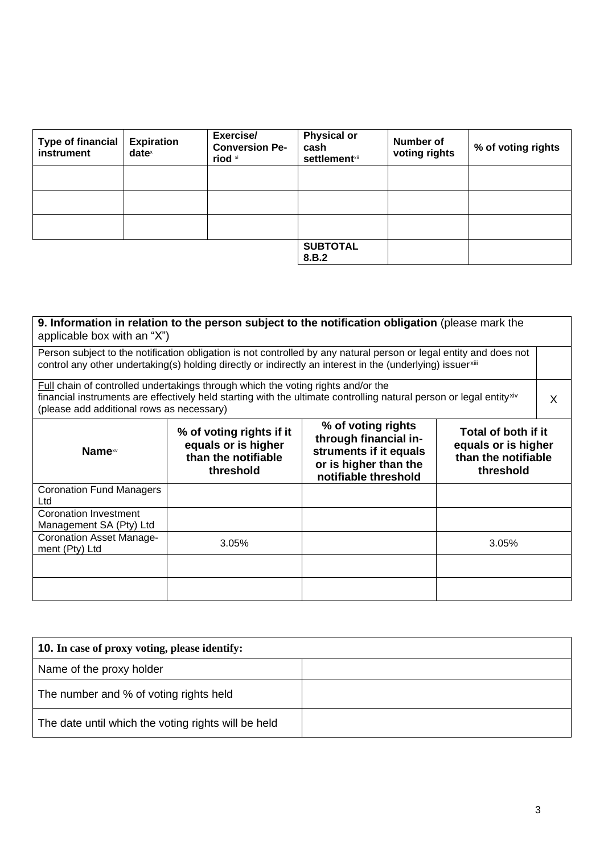| <b>Type of financial</b><br>instrument | <b>Expiration</b><br>$date^{\times}$ | Exercise/<br><b>Conversion Pe-</b><br>riod xi | <b>Physical or</b><br>cash<br><b>settlement</b> xii | <b>Number of</b><br>voting rights | % of voting rights |
|----------------------------------------|--------------------------------------|-----------------------------------------------|-----------------------------------------------------|-----------------------------------|--------------------|
|                                        |                                      |                                               |                                                     |                                   |                    |
|                                        |                                      |                                               |                                                     |                                   |                    |
|                                        |                                      |                                               |                                                     |                                   |                    |
|                                        |                                      |                                               | <b>SUBTOTAL</b><br>8.B.2                            |                                   |                    |

**9. Information in relation to the person subject to the notification obligation** (please mark the applicable box with an "X") Person subject to the notification obligation is not controlled by any natural person or legal entity and does not control any other undertaking(s) holding directly or indirectly an interest in the (underlying) issuerxiii Full chain of controlled undertakings through which the voting rights and/or the financial instruments are effectively held starting with the ultimate controlling natural person or legal entityxiv (please add additional rows as necessary) X **Name**xv **% of voting rights if it equals or is higher than the notifiable threshold % of voting rights through financial instruments if it equals or is higher than the notifiable threshold Total of both if it equals or is higher than the notifiable threshold** Coronation Fund Managers Ltd Coronation Investment Management SA (Pty) Ltd Coronation Asset Manage-<br>ment (Pty) Ltd ment (Pty) Ltd 3.05% 3.05%

| <b>10.</b> In case of proxy voting, please identify: |  |  |
|------------------------------------------------------|--|--|
| Name of the proxy holder                             |  |  |
| The number and % of voting rights held               |  |  |
| The date until which the voting rights will be held  |  |  |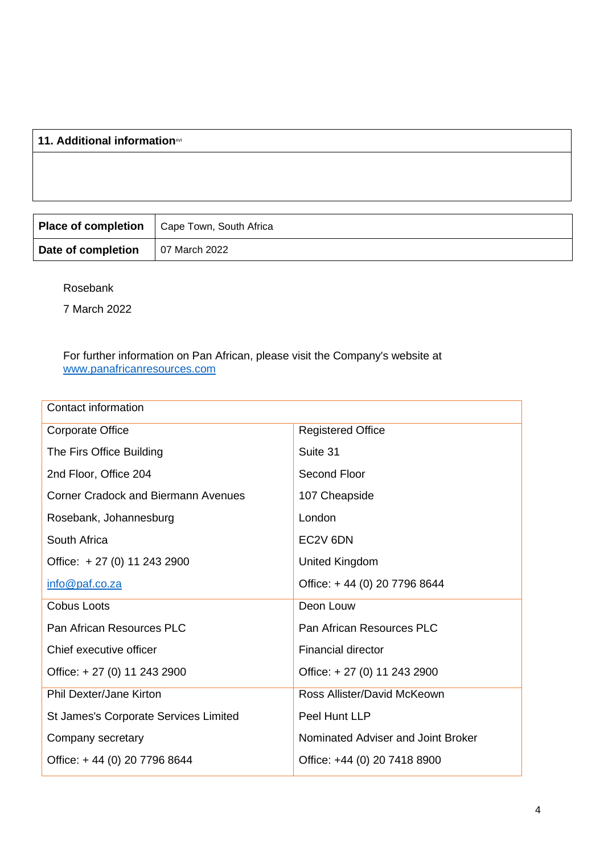## **11. Additional information**xvi

|                    | Place of completion   Cape Town, South Africa |
|--------------------|-----------------------------------------------|
| Date of completion | 07 March 2022                                 |

Rosebank

7 March 2022

#### For further information on Pan African, please visit the Company's website at [www.panafricanresources.com](http://www.panafricanresources.com/)

| <b>Contact information</b>                 |                                    |
|--------------------------------------------|------------------------------------|
| <b>Corporate Office</b>                    | <b>Registered Office</b>           |
| The Firs Office Building                   | Suite 31                           |
| 2nd Floor, Office 204                      | <b>Second Floor</b>                |
| <b>Corner Cradock and Biermann Avenues</b> | 107 Cheapside                      |
| Rosebank, Johannesburg                     | London                             |
| South Africa                               | EC2V 6DN                           |
| Office: +27 (0) 11 243 2900                | United Kingdom                     |
| info@paf.co.za                             | Office: +44 (0) 20 7796 8644       |
| <b>Cobus Loots</b>                         | Deon Louw                          |
| Pan African Resources PLC                  | Pan African Resources PLC          |
| Chief executive officer                    | <b>Financial director</b>          |
| Office: +27 (0) 11 243 2900                | Office: +27 (0) 11 243 2900        |
| <b>Phil Dexter/Jane Kirton</b>             | Ross Allister/David McKeown        |
| St James's Corporate Services Limited      | Peel Hunt LLP                      |
| Company secretary                          | Nominated Adviser and Joint Broker |
| Office: +44 (0) 20 7796 8644               | Office: +44 (0) 20 7418 8900       |